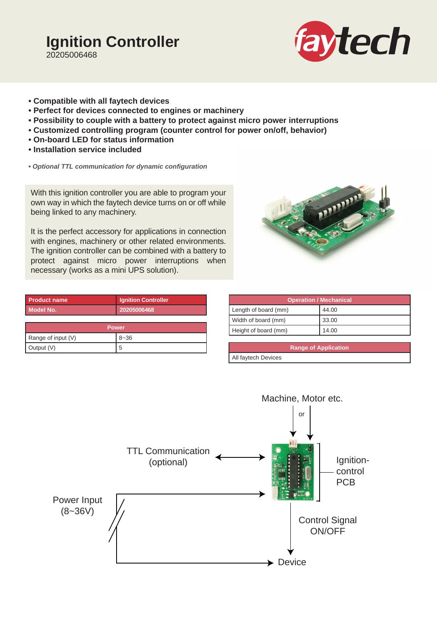# **Ignition Controller** 20205006468



- **Compatible with all faytech devices**
- **Perfect for devices connected to engines or machinery**
- **Possibility to couple with a battery to protect against micro power interruptions**
- **Customized controlling program (counter control for power on/off, behavior)**
- **On-board LED for status information**
- **Installation service included**
- *Optional TTL communication for dynamic configuration*

With this ignition controller you are able to program your own way in which the faytech device turns on or off while being linked to any machinery.

It is the perfect accessory for applications in connection with engines, machinery or other related environments. The ignition controller can be combined with a battery to protect against micro power interruptions when necessary (works as a mini UPS solution).

| <b>Product name</b>  | <b>Ignition Controller</b> |  |  |  |
|----------------------|----------------------------|--|--|--|
| <b>Model No.</b>     | 20205006468                |  |  |  |
|                      |                            |  |  |  |
| <b>Power</b>         |                            |  |  |  |
| Range of input $(V)$ | $8 - 36$                   |  |  |  |
| Output (V)           | 5                          |  |  |  |

| <b>Ignition Controller</b> |                      | <b>Operation / Mechanical</b> |       |
|----------------------------|----------------------|-------------------------------|-------|
| 20205006468                | Length of board (mm) |                               | 44.00 |
|                            | Width of board (mm)  |                               | 33.00 |
| <b>Power</b>               | Height of board (mm) |                               | 14.00 |
| $\sim$ $\sim$              |                      |                               |       |

**Range of Application** All faytech Devices